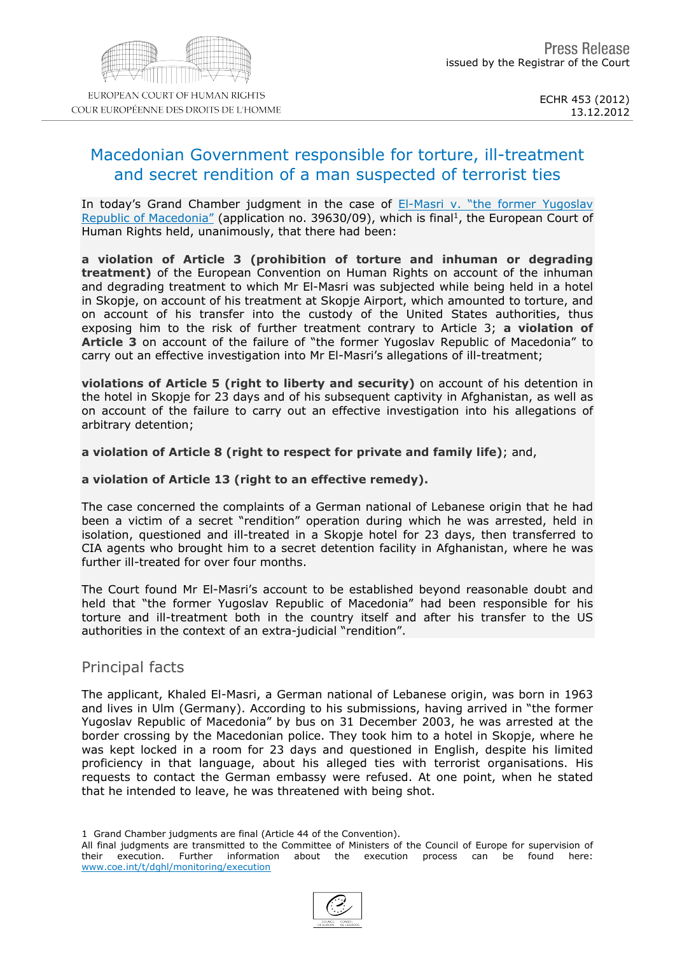# Macedonian Government responsible for torture, ill-treatment and secret rendition of a man suspected of terrorist ties

In today's Grand Chamber judgment in the case of EI-Masri [v.](http://hudoc.echr.coe.int/sites/eng/pages/search.aspx?i=001-115535) ["the](http://hudoc.echr.coe.int/sites/eng/pages/search.aspx?i=001-115535) [former](http://hudoc.echr.coe.int/sites/eng/pages/search.aspx?i=001-115535) [Yugoslav](http://hudoc.echr.coe.int/sites/eng/pages/search.aspx?i=001-115535) [Republic](http://hudoc.echr.coe.int/sites/eng/pages/search.aspx?i=001-115535) [of](http://hudoc.echr.coe.int/sites/eng/pages/search.aspx?i=001-115535) [Macedonia"](http://hudoc.echr.coe.int/sites/eng/pages/search.aspx?i=001-115535) (application no. 39630/09), which is final <sup>1</sup>, the European Court of Human Rights held, unanimously, that there had been:

a violation of Article 3 (prohibition of torture and inhuman or degrading treatment) of the European Convention on Human Rights on account of the inhuman and degrading treatment to which Mr El-Masri was subjected while being held in a hotel in Skopje, on account of his treatment at Skopje Airport, which amounted to torture, and on account of his transfer into the custody of the United States authorities, thus exposing him to the risk of further treatment contrary to Article 3; a violation of Article 3 on account of the failure of "the former Yugoslav Republic of Macedonia" to carry out an effective investigation into Mr El-Masri's allegations of ill-treatment;

violations of Article 5 (right to liberty and security) on account of his detention in the hotel in Skopje for 23 days and of his subsequent captivity in Afghanistan, as well as on account of the failure to carry out an effective investigation into his allegations of arbitrary detention;

a violation of Article 8 (right to respect for private and family life); and,

a violation of Article 13 (right to an effective remedy).

The case concerned the complaints of a German national of Lebanese origin that he had been a victim of a secret "rendition" operation during which he was arrested, held in isolation, questioned and ill-treated in a Skopje hotel for 23 days, then transferred to CIA agents who brought him to a secret detention facility in Afghanistan, where he was further ill-treated for over four months.

The Court found Mr El-Masri's account to be established beyond reasonable doubt and held that "the former Yugoslav Republic of Macedonia" had been responsible for his torture and ill-treatment both in the country itself and after his transfer to the US authorities in the context of an extra-judicial "rendition".

## Principal facts

The applicant, Khaled El-Masri, a German national of Lebanese origin, was born in 1963 and lives in Ulm (Germany). According to his submissions, having arrived in "the former Yugoslav Republic of Macedonia" by bus on 31 December 2003, he was arrested at the border crossing by the Macedonian police. They took him to a hotel in Skopje, where he was kept locked in a room for 23 days and questioned in English, despite his limited proficiency in that language, about his alleged ties with terrorist organisations. His requests to contact the German embassy were refused. At one point, when he stated that he intended to leave, he was threatened with being shot.

<sup>1</sup> Grand Chamber judgments are final (Article 44 of the Convention).

All final judgments are transmitted to the Committee of Ministers of the Council of Europe for supervision of their execution. Further information about the execution process can be found here: their execution. Further information about the execution process can be found here: [www.coe.int/t/dghl/monitoring/execution](http://www.coe.int/t/dghl/monitoring/execution)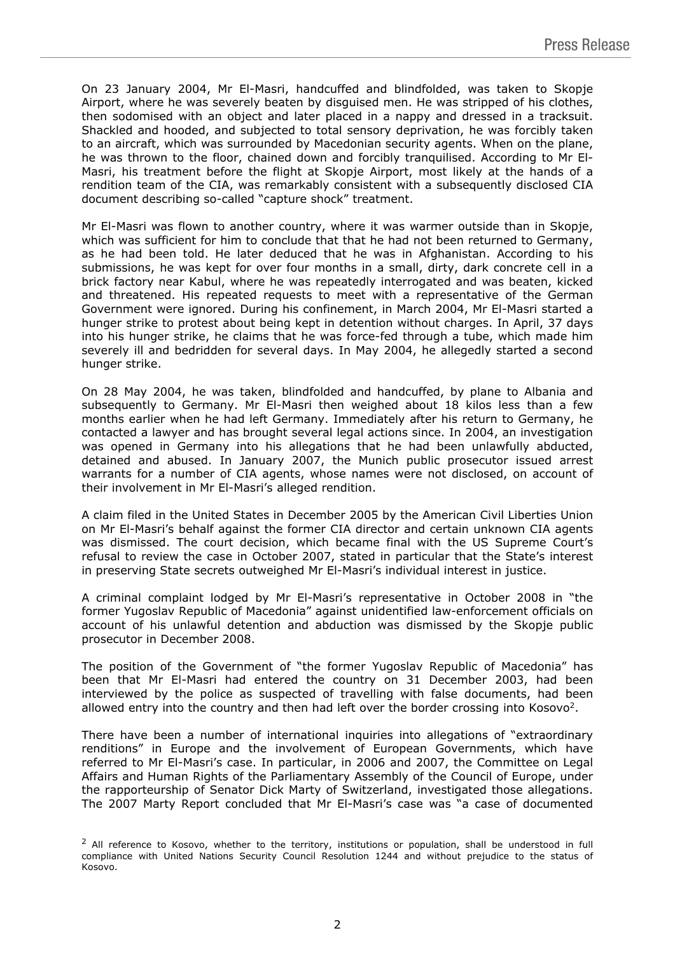On 23 January 2004, Mr El-Masri, handcuffed and blindfolded, was taken to Skopje Airport, where he was severely beaten by disguised men. He was stripped of his clothes, then sodomised with an object and later placed in a nappy and dressed in a tracksuit. Shackled and hooded, and subjected to total sensory deprivation, he was forcibly taken to an aircraft, which was surrounded by Macedonian security agents. When on the plane, he was thrown to the floor, chained down and forcibly tranquilised. According to Mr El-Masri, his treatment before the flight at Skopje Airport, most likely at the hands of a rendition team of the CIA, was remarkably consistent with a subsequently disclosed CIA document describing so-called "capture shock" treatment.

Mr El-Masri was flown to another country, where it was warmer outside than in Skopje, which was sufficient for him to conclude that that he had not been returned to Germany, as he had been told. He later deduced that he was in Afghanistan. According to his submissions, he was kept for over four months in a small, dirty, dark concrete cell in a brick factory near Kabul, where he was repeatedly interrogated and was beaten, kicked and threatened. His repeated requests to meet with a representative of the German Government were ignored. During his confinement, in March 2004, Mr El-Masri started a hunger strike to protest about being kept in detention without charges. In April, 37 days into his hunger strike, he claims that he was force-fed through a tube, which made him severely ill and bedridden for several days. In May 2004, he allegedly started a second hunger strike.

On 28 May 2004, he was taken, blindfolded and handcuffed, by plane to Albania and subsequently to Germany. Mr El-Masri then weighed about 18 kilos less than a few months earlier when he had left Germany. Immediately after his return to Germany, he contacted a lawyer and has brought several legal actions since. In 2004, an investigation was opened in Germany into his allegations that he had been unlawfully abducted, detained and abused. In January 2007, the Munich public prosecutor issued arrest warrants for a number of CIA agents, whose names were not disclosed, on account of their involvement in Mr El-Masri's alleged rendition.

A claim filed in the United States in December 2005 by the American Civil Liberties Union on Mr El-Masri's behalf against the former CIA director and certain unknown CIA agents was dismissed. The court decision, which became final with the US Supreme Court's refusal to review the case in October 2007, stated in particular that the State's interest in preserving State secrets outweighed Mr El-Masri's individual interest in justice.

A criminal complaint lodged by Mr El-Masri's representative in October 2008 in "the former Yugoslav Republic of Macedonia" against unidentified law-enforcement officials on account of his unlawful detention and abduction was dismissed by the Skopje public prosecutor in December 2008.

The position of the Government of "the former Yugoslav Republic of Macedonia" has been that Mr El-Masri had entered the country on 31 December 2003, had been interviewed by the police as suspected of travelling with false documents, had been allowed entry into the country and then had left over the border crossing into Kosovo<sup>2</sup>.

There have been a number of international inquiries into allegations of "extraordinary renditions" in Europe and the involvement of European Governments, which have referred to Mr El-Masri's case. In particular, in 2006 and 2007, the Committee on Legal Affairs and Human Rights of the Parliamentary Assembly of the Council of Europe, under the rapporteurship of Senator Dick Marty of Switzerland, investigated those allegations. The 2007 Marty Report concluded that Mr El-Masri's case was "a case of documented

 $<sup>2</sup>$  All reference to Kosovo, whether to the territory, institutions or population, shall be understood in full</sup> compliance with United Nations Security Council Resolution 1244 and without prejudice to the status of Kosovo.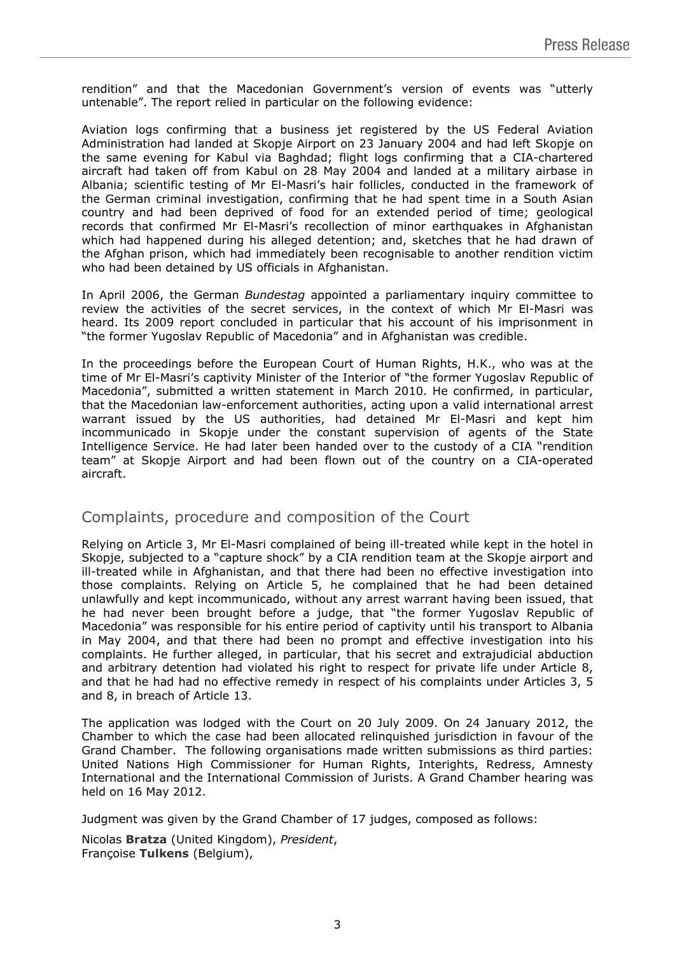rendition" and that the Macedonian Government's version of events was "utterly untenable". The report relied in particular on the following evidence:

Aviation logs confirming that a business jet registered by the US Federal Aviation Administration had landed at Skopje Airport on 23 January 2004 and had left Skopje on the same evening for Kabul via Baghdad; flight logs confirming that a CIA-chartered aircraft had taken off from Kabul on 28 May 2004 and landed at a military airbase in Albania; scientific testing of Mr El-Masri's hair follicles, conducted in the framework of the German criminal investigation, confirming that he had spent time in a South Asian country and had been deprived of food for an extended period of time; geological records that confirmed Mr El-Masri's recollection of minor earthquakes in Afghanistan which had happened during his alleged detention; and, sketches that he had drawn of the Afghan prison, which had immediately been recognisable to another rendition victim who had been detained by US officials in Afghanistan.

In April 2006, the German *Bundestag* appointed a parliamentary inquiry committee to review the activities of the secret services, in the context of which Mr El-Masri was heard. Its 2009 report concluded in particular that his account of his imprisonment in "the former Yugoslav Republic of Macedonia" and in Afghanistan was credible.

In the proceedings before the European Court of Human Rights, H.K., who was at the time of Mr El-Masri's captivity Minister of the Interior of "the former Yugoslav Republic of Macedonia", submitted a written statement in March 2010. He confirmed, in particular, that the Macedonian law-enforcement authorities, acting upon a valid international arrest warrant issued by the US authorities, had detained Mr El-Masri and kept him incommunicado in Skopje under the constant supervision of agents of the State Intelligence Service. He had later been handed over to the custody of a CIA "rendition team" at Skopje Airport and had been flown out of the country on a CIA-operated aircraft.

## Complaints, procedure and composition of the Court

Relying on Article 3, Mr El-Masri complained of being ill-treated while kept in the hotel in Skopje, subjected to a "capture shock" by a CIA rendition team at the Skopje airport and ill-treated while in Afghanistan, and that there had been no effective investigation into those complaints. Relying on Article 5, he complained that he had been detained unlawfully and kept incommunicado, without any arrest warrant having been issued, that he had never been brought before a judge, that "the former Yugoslav Republic of Macedonia" was responsible for his entire period of captivity until his transport to Albania in May 2004, and that there had been no prompt and effective investigation into his complaints. He further alleged, in particular, that his secret and extrajudicial abduction and arbitrary detention had violated his right to respect for private life under Article 8, and that he had had no effective remedy in respect of his complaints under Articles 3, 5 and 8, in breach of Article 13.

The application was lodged with the Court on 20 July 2009. On 24 January 2012, the Chamber to which the case had been allocated relinquished jurisdiction in favour of the Grand Chamber. The following organisations made written submissions as third parties: United Nations High Commissioner for Human Rights, Interights, Redress, Amnesty International and the International Commission of Jurists. A Grand Chamber hearing was held on 16 May 2012.

Judgment was given by the Grand Chamber of 17 judges, composed as follows:

Nicolas **Bratza** (United Kingdom), *President*, Françoise **Tulkens** (Belgium),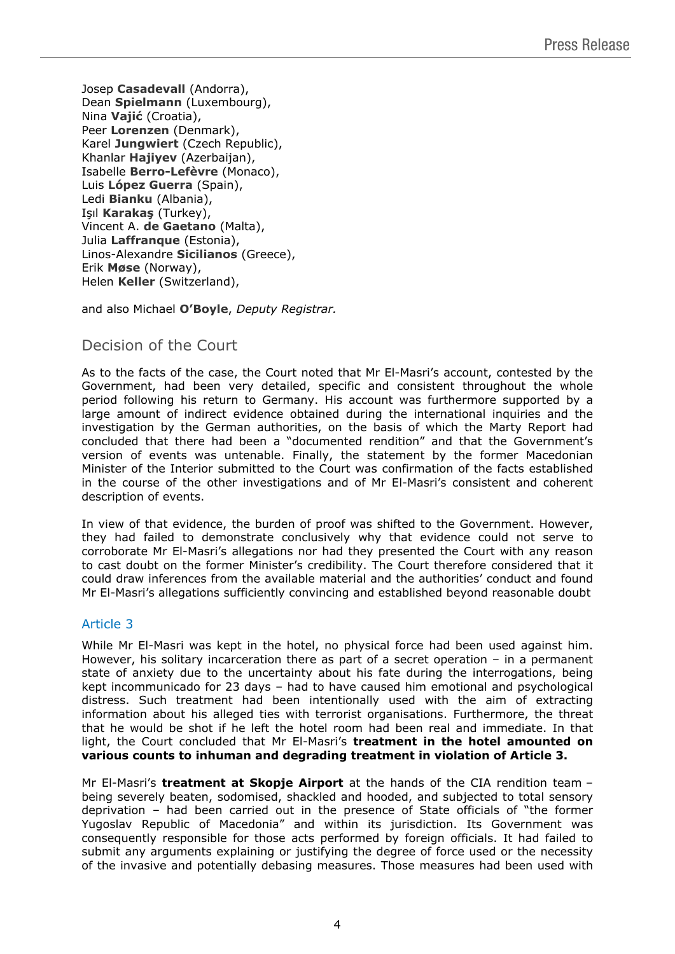Josep **Casadevall** (Andorra), Dean **Spielmann** (Luxembourg), Nina **Vajić** (Croatia), Peer **Lorenzen** (Denmark), Karel **Jungwiert** (Czech Republic), Khanlar **Hajiyev** (Azerbaijan), Isabelle **Berro-Lefèvre** (Monaco), Luis **López Guerra** (Spain), Ledi **Bianku** (Albania), Işıl **Karakaş** (Turkey), Vincent A. **de Gaetano** (Malta), Julia **Laffranque** (Estonia), Linos-Alexandre **Sicilianos** (Greece), Erik **Møse** (Norway), Helen **Keller** (Switzerland),

and also Michael **O'Boyle**, *Deputy Registrar.*

# Decision of the Court

As to the facts of the case, the Court noted that Mr El-Masri's account, contested by the Government, had been very detailed, specific and consistent throughout the whole period following his return to Germany. His account was furthermore supported by a large amount of indirect evidence obtained during the international inquiries and the investigation by the German authorities, on the basis of which the Marty Report had concluded that there had been a "documented rendition" and that the Government's version of events was untenable. Finally, the statement by the former Macedonian Minister of the Interior submitted to the Court was confirmation of the facts established in the course of the other investigations and of Mr El-Masri's consistent and coherent description of events.

In view of that evidence, the burden of proof was shifted to the Government. However, they had failed to demonstrate conclusively why that evidence could not serve to corroborate Mr El-Masri's allegations nor had they presented the Court with any reason to cast doubt on the former Minister's credibility. The Court therefore considered that it could draw inferences from the available material and the authorities' conduct and found Mr El-Masri's allegations sufficiently convincing and established beyond reasonable doubt

### Article 3

While Mr El-Masri was kept in the hotel, no physical force had been used against him. However, his solitary incarceration there as part of a secret operation  $-$  in a permanent state of anxiety due to the uncertainty about his fate during the interrogations, being kept incommunicado for 23 days – had to have caused him emotional and psychological distress. Such treatment had been intentionally used with the aim of extracting information about his alleged ties with terrorist organisations. Furthermore, the threat that he would be shot if he left the hotel room had been real and immediate. In that light, the Court concluded that Mr El-Masri's **treatment in the hotel amounted on various counts to inhuman and degrading treatment in violation of Article 3.**

Mr El-Masri's **treatment at Skopje Airport** at the hands of the CIA rendition team – being severely beaten, sodomised, shackled and hooded, and subjected to total sensory deprivation – had been carried out in the presence of State officials of "the former Yugoslav Republic of Macedonia" and within its jurisdiction. Its Government was consequently responsible for those acts performed by foreign officials. It had failed to submit any arguments explaining or justifying the degree of force used or the necessity of the invasive and potentially debasing measures. Those measures had been used with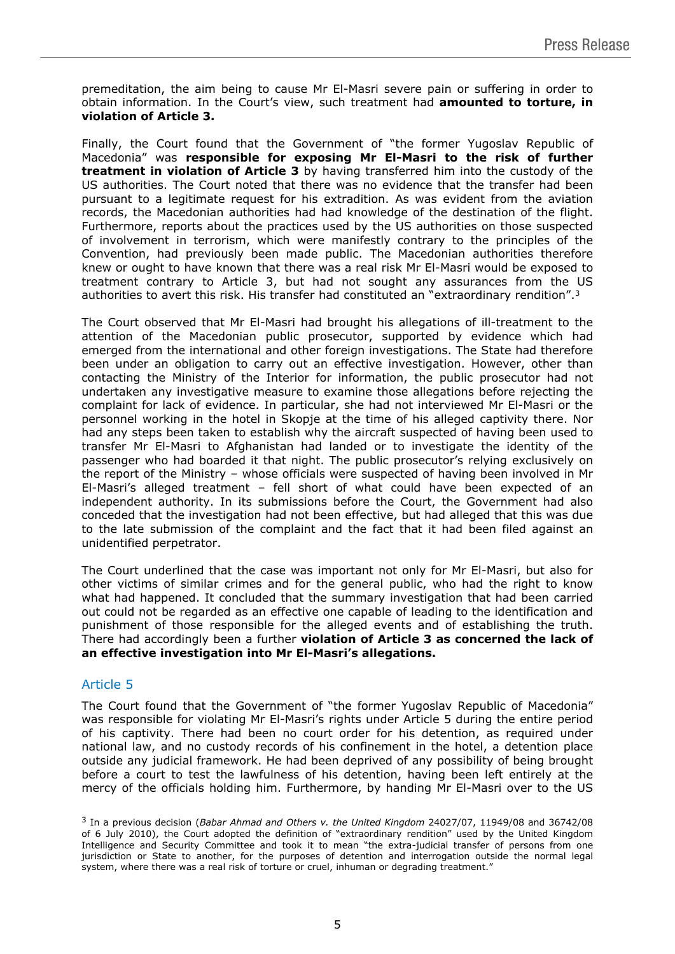premeditation, the aim being to cause Mr El-Masri severe pain or suffering in order to obtain information. In the Court's view, such treatment had **amounted to torture, in violation of Article 3.**

Finally, the Court found that the Government of "the former Yugoslav Republic of Macedonia" was **responsible for exposing Mr El-Masri to the risk of further treatment in violation of Article 3** by having transferred him into the custody of the US authorities. The Court noted that there was no evidence that the transfer had been pursuant to a legitimate request for his extradition. As was evident from the aviation records, the Macedonian authorities had had knowledge of the destination of the flight. Furthermore, reports about the practices used by the US authorities on those suspected of involvement in terrorism, which were manifestly contrary to the principles of the Convention, had previously been made public. The Macedonian authorities therefore knew or ought to have known that there was a real risk Mr El-Masri would be exposed to treatment contrary to Article 3, but had not sought any assurances from the US authorities to avert this risk. His transfer had constituted an "extraordinary rendition".<sup>3</sup>

The Court observed that Mr El-Masri had brought his allegations of ill-treatment to the attention of the Macedonian public prosecutor, supported by evidence which had emerged from the international and other foreign investigations. The State had therefore been under an obligation to carry out an effective investigation. However, other than contacting the Ministry of the Interior for information, the public prosecutor had not undertaken any investigative measure to examine those allegations before rejecting the complaint for lack of evidence. In particular, she had not interviewed Mr El-Masri or the personnel working in the hotel in Skopje at the time of his alleged captivity there. Nor had any steps been taken to establish why the aircraft suspected of having been used to transfer Mr El-Masri to Afghanistan had landed or to investigate the identity of the passenger who had boarded it that night. The public prosecutor's relying exclusively on the report of the Ministry – whose officials were suspected of having been involved in Mr El-Masri's alleged treatment – fell short of what could have been expected of an independent authority. In its submissions before the Court, the Government had also conceded that the investigation had not been effective, but had alleged that this was due to the late submission of the complaint and the fact that it had been filed against an unidentified perpetrator.

The Court underlined that the case was important not only for Mr El-Masri, but also for other victims of similar crimes and for the general public, who had the right to know what had happened. It concluded that the summary investigation that had been carried out could not be regarded as an effective one capable of leading to the identification and punishment of those responsible for the alleged events and of establishing the truth. There had accordingly been a further **violation of Article 3 as concerned the lack of an effective investigation into Mr El-Masri's allegations.**

## Article 5

The Court found that the Government of "the former Yugoslav Republic of Macedonia" was responsible for violating Mr El-Masri's rights under Article 5 during the entire period of his captivity. There had been no court order for his detention, as required under national law, and no custody records of his confinement in the hotel, a detention place outside any judicial framework. He had been deprived of any possibility of being brought before a court to test the lawfulness of his detention, having been left entirely at the mercy of the officials holding him. Furthermore, by handing Mr El-Masri over to the US

<sup>3</sup> In a previous decision (*Babar Ahmad and Others v. the United Kingdom* 24027/07, 11949/08 and 36742/08 of 6 July 2010), the Court adopted the definition of "extraordinary rendition" used by the United Kingdom Intelligence and Security Committee and took it to mean "the extra-judicial transfer of persons from one jurisdiction or State to another, for the purposes of detention and interrogation outside the normal legal system, where there was a real risk of torture or cruel, inhuman or degrading treatment."